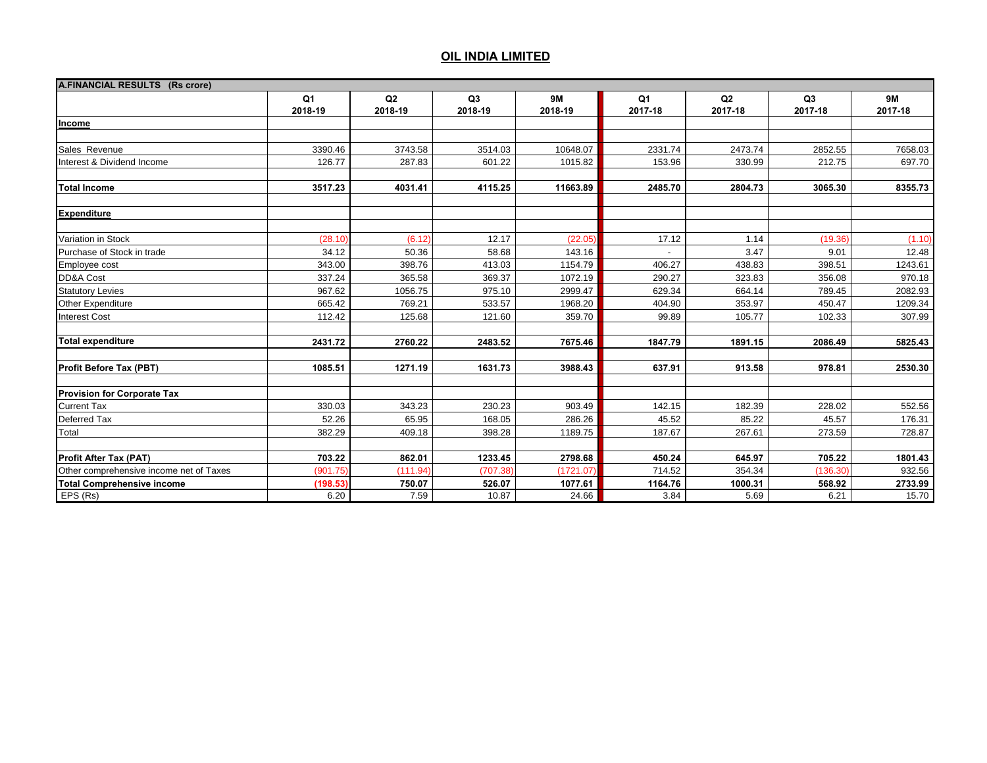| <b>A.FINANCIAL RESULTS (Rs crore)</b>   |                           |               |               |                      |                           |               |               |                      |
|-----------------------------------------|---------------------------|---------------|---------------|----------------------|---------------------------|---------------|---------------|----------------------|
|                                         | Q <sub>1</sub><br>2018-19 | Q2<br>2018-19 | Q3<br>2018-19 | <b>9M</b><br>2018-19 | Q <sub>1</sub><br>2017-18 | Q2<br>2017-18 | Q3<br>2017-18 | <b>9M</b><br>2017-18 |
| Income                                  |                           |               |               |                      |                           |               |               |                      |
|                                         |                           |               |               |                      |                           |               |               |                      |
| Sales Revenue                           | 3390.46                   | 3743.58       | 3514.03       | 10648.07             | 2331.74                   | 2473.74       | 2852.55       | 7658.03              |
| Interest & Dividend Income              | 126.77                    | 287.83        | 601.22        | 1015.82              | 153.96                    | 330.99        | 212.75        | 697.70               |
|                                         |                           |               |               |                      |                           |               |               |                      |
| <b>Total Income</b>                     | 3517.23                   | 4031.41       | 4115.25       | 11663.89             | 2485.70                   | 2804.73       | 3065.30       | 8355.73              |
|                                         |                           |               |               |                      |                           |               |               |                      |
| <b>Expenditure</b>                      |                           |               |               |                      |                           |               |               |                      |
|                                         |                           |               |               |                      |                           |               |               |                      |
| Variation in Stock                      | (28.10)                   | (6.12)        | 12.17         | (22.05)              | 17.12                     | 1.14          | (19.36)       | (1.10)               |
| Purchase of Stock in trade              | 34.12                     | 50.36         | 58.68         | 143.16               |                           | 3.47          | 9.01          | 12.48                |
| Employee cost                           | 343.00                    | 398.76        | 413.03        | 1154.79              | 406.27                    | 438.83        | 398.51        | 1243.61              |
| DD&A Cost                               | 337.24                    | 365.58        | 369.37        | 1072.19              | 290.27                    | 323.83        | 356.08        | 970.18               |
| <b>Statutory Levies</b>                 | 967.62                    | 1056.75       | 975.10        | 2999.47              | 629.34                    | 664.14        | 789.45        | 2082.93              |
| Other Expenditure                       | 665.42                    | 769.21        | 533.57        | 1968.20              | 404.90                    | 353.97        | 450.47        | 1209.34              |
| <b>Interest Cost</b>                    | 112.42                    | 125.68        | 121.60        | 359.70               | 99.89                     | 105.77        | 102.33        | 307.99               |
| <b>Total expenditure</b>                | 2431.72                   | 2760.22       | 2483.52       | 7675.46              | 1847.79                   | 1891.15       | 2086.49       | 5825.43              |
|                                         |                           |               |               |                      |                           |               |               |                      |
| Profit Before Tax (PBT)                 | 1085.51                   | 1271.19       | 1631.73       | 3988.43              | 637.91                    | 913.58        | 978.81        | 2530.30              |
| <b>Provision for Corporate Tax</b>      |                           |               |               |                      |                           |               |               |                      |
| <b>Current Tax</b>                      | 330.03                    | 343.23        | 230.23        | 903.49               | 142.15                    | 182.39        | 228.02        | 552.56               |
| Deferred Tax                            | 52.26                     | 65.95         | 168.05        | 286.26               | 45.52                     | 85.22         | 45.57         | 176.31               |
| Total                                   | 382.29                    | 409.18        | 398.28        | 1189.75              | 187.67                    | 267.61        | 273.59        | 728.87               |
|                                         |                           |               |               |                      |                           |               |               |                      |
| <b>Profit After Tax (PAT)</b>           | 703.22                    | 862.01        | 1233.45       | 2798.68              | 450.24                    | 645.97        | 705.22        | 1801.43              |
| Other comprehensive income net of Taxes | (901.75)                  | (111.94)      | (707.38)      | (1721.07)            | 714.52                    | 354.34        | (136.30)      | 932.56               |
| <b>Total Comprehensive income</b>       | (198.53)                  | 750.07        | 526.07        | 1077.61              | 1164.76                   | 1000.31       | 568.92        | 2733.99              |
| EPS (Rs)                                | 6.20                      | 7.59          | 10.87         | 24.66                | 3.84                      | 5.69          | 6.21          | 15.70                |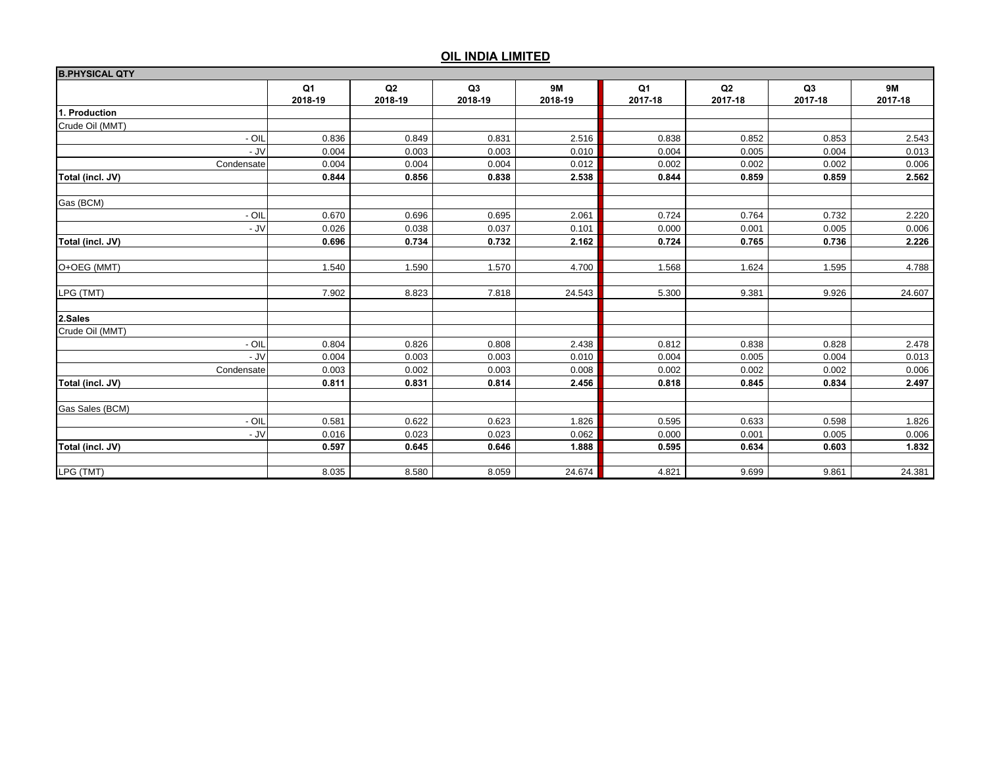| <b>B.PHYSICAL QTY</b> |                           |               |               |                      |                           |               |               |                      |
|-----------------------|---------------------------|---------------|---------------|----------------------|---------------------------|---------------|---------------|----------------------|
|                       | Q <sub>1</sub><br>2018-19 | Q2<br>2018-19 | Q3<br>2018-19 | <b>9M</b><br>2018-19 | Q <sub>1</sub><br>2017-18 | Q2<br>2017-18 | Q3<br>2017-18 | <b>9M</b><br>2017-18 |
| 1. Production         |                           |               |               |                      |                           |               |               |                      |
| Crude Oil (MMT)       |                           |               |               |                      |                           |               |               |                      |
| - OIL                 | 0.836                     | 0.849         | 0.831         | 2.516                | 0.838                     | 0.852         | 0.853         | 2.543                |
| - JV                  | 0.004                     | 0.003         | 0.003         | 0.010                | 0.004                     | 0.005         | 0.004         | 0.013                |
| Condensate            | 0.004                     | 0.004         | 0.004         | 0.012                | 0.002                     | 0.002         | 0.002         | 0.006                |
| Total (incl. JV)      | 0.844                     | 0.856         | 0.838         | 2.538                | 0.844                     | 0.859         | 0.859         | 2.562                |
| Gas (BCM)             |                           |               |               |                      |                           |               |               |                      |
| $-$ OIL               | 0.670                     | 0.696         | 0.695         | 2.061                | 0.724                     | 0.764         | 0.732         | 2.220                |
| - JV                  | 0.026                     | 0.038         | 0.037         | 0.101                | 0.000                     | 0.001         | 0.005         | 0.006                |
| Total (incl. JV)      | 0.696                     | 0.734         | 0.732         | 2.162                | 0.724                     | 0.765         | 0.736         | 2.226                |
| O+OEG (MMT)           | 1.540                     | 1.590         | 1.570         | 4.700                | 1.568                     | 1.624         | 1.595         | 4.788                |
| LPG (TMT)             | 7.902                     | 8.823         | 7.818         | 24.543               | 5.300                     | 9.381         | 9.926         | 24.607               |
| 2.Sales               |                           |               |               |                      |                           |               |               |                      |
| Crude Oil (MMT)       |                           |               |               |                      |                           |               |               |                      |
| - OIL                 | 0.804                     | 0.826         | 0.808         | 2.438                | 0.812                     | 0.838         | 0.828         | 2.478                |
| - JV                  | 0.004                     | 0.003         | 0.003         | 0.010                | 0.004                     | 0.005         | 0.004         | 0.013                |
| Condensate            | 0.003                     | 0.002         | 0.003         | 0.008                | 0.002                     | 0.002         | 0.002         | 0.006                |
| Total (incl. JV)      | 0.811                     | 0.831         | 0.814         | 2.456                | 0.818                     | 0.845         | 0.834         | 2.497                |
| Gas Sales (BCM)       |                           |               |               |                      |                           |               |               |                      |
| - OIL                 | 0.581                     | 0.622         | 0.623         | 1.826                | 0.595                     | 0.633         | 0.598         | 1.826                |
| - JV                  | 0.016                     | 0.023         | 0.023         | 0.062                | 0.000                     | 0.001         | 0.005         | 0.006                |
| Total (incl. JV)      | 0.597                     | 0.645         | 0.646         | 1.888                | 0.595                     | 0.634         | 0.603         | 1.832                |
| LPG (TMT)             | 8.035                     | 8.580         | 8.059         | 24.674               | 4.821                     | 9.699         | 9.861         | 24.381               |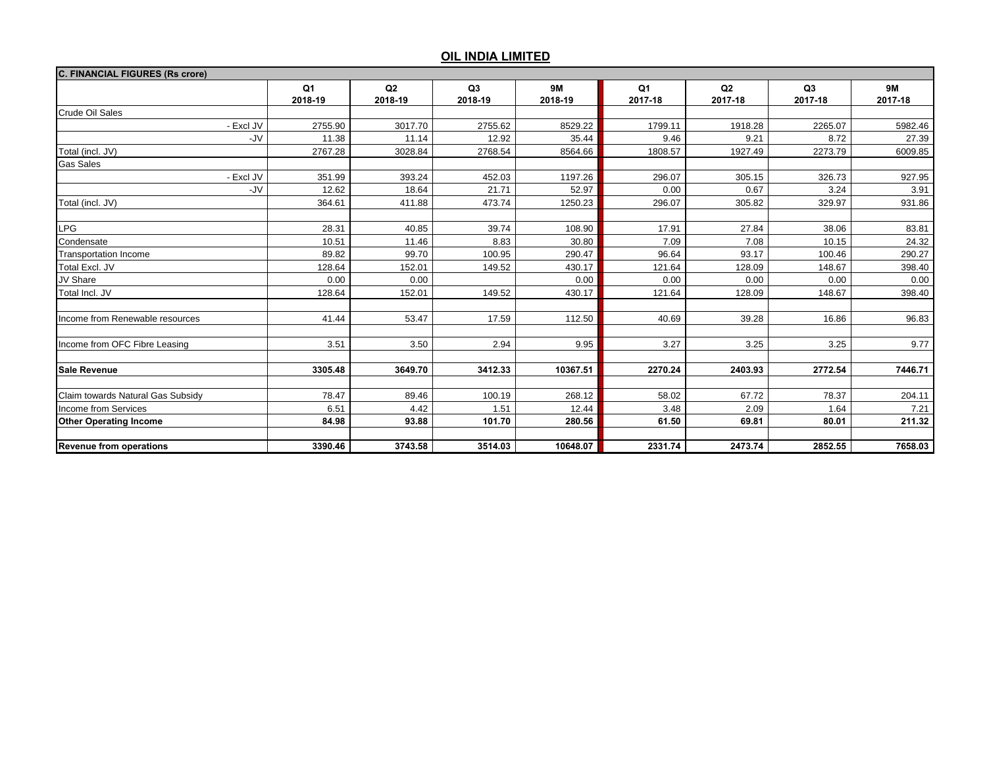| <b>C. FINANCIAL FIGURES (Rs crore)</b> |                           |               |                           |                      |                           |                           |                           |                      |
|----------------------------------------|---------------------------|---------------|---------------------------|----------------------|---------------------------|---------------------------|---------------------------|----------------------|
|                                        | Q <sub>1</sub><br>2018-19 | Q2<br>2018-19 | Q <sub>3</sub><br>2018-19 | <b>9M</b><br>2018-19 | Q <sub>1</sub><br>2017-18 | Q <sub>2</sub><br>2017-18 | Q <sub>3</sub><br>2017-18 | <b>9M</b><br>2017-18 |
| <b>Crude Oil Sales</b>                 |                           |               |                           |                      |                           |                           |                           |                      |
| - Excl JV                              | 2755.90                   | 3017.70       | 2755.62                   | 8529.22              | 1799.11                   | 1918.28                   | 2265.07                   | 5982.46              |
| -JV                                    | 11.38                     | 11.14         | 12.92                     | 35.44                | 9.46                      | 9.21                      | 8.72                      | 27.39                |
| Total (incl. JV)                       | 2767.28                   | 3028.84       | 2768.54                   | 8564.66              | 1808.57                   | 1927.49                   | 2273.79                   | 6009.85              |
| <b>Gas Sales</b>                       |                           |               |                           |                      |                           |                           |                           |                      |
| - Excl JV                              | 351.99                    | 393.24        | 452.03                    | 1197.26              | 296.07                    | 305.15                    | 326.73                    | 927.95               |
| -JV                                    | 12.62                     | 18.64         | 21.71                     | 52.97                | 0.00                      | 0.67                      | 3.24                      | 3.91                 |
| Total (incl. JV)                       | 364.61                    | 411.88        | 473.74                    | 1250.23              | 296.07                    | 305.82                    | 329.97                    | 931.86               |
|                                        |                           |               |                           |                      |                           |                           |                           |                      |
| <b>LPG</b>                             | 28.31                     | 40.85         | 39.74                     | 108.90               | 17.91                     | 27.84                     | 38.06                     | 83.81                |
| Condensate                             | 10.51                     | 11.46         | 8.83                      | 30.80                | 7.09                      | 7.08                      | 10.15                     | 24.32                |
| <b>Transportation Income</b>           | 89.82                     | 99.70         | 100.95                    | 290.47               | 96.64                     | 93.17                     | 100.46                    | 290.27               |
| Total Excl. JV                         | 128.64                    | 152.01        | 149.52                    | 430.17               | 121.64                    | 128.09                    | 148.67                    | 398.40               |
| JV Share                               | 0.00                      | 0.00          |                           | 0.00                 | 0.00                      | 0.00                      | 0.00                      | 0.00                 |
| Total Incl. JV                         | 128.64                    | 152.01        | 149.52                    | 430.17               | 121.64                    | 128.09                    | 148.67                    | 398.40               |
| Income from Renewable resources        | 41.44                     | 53.47         | 17.59                     | 112.50               | 40.69                     | 39.28                     | 16.86                     | 96.83                |
| Income from OFC Fibre Leasing          | 3.51                      | 3.50          | 2.94                      | 9.95                 | 3.27                      | 3.25                      | 3.25                      | 9.77                 |
| <b>Sale Revenue</b>                    | 3305.48                   | 3649.70       | 3412.33                   | 10367.51             | 2270.24                   | 2403.93                   | 2772.54                   | 7446.71              |
| Claim towards Natural Gas Subsidy      | 78.47                     | 89.46         | 100.19                    | 268.12               | 58.02                     | 67.72                     | 78.37                     | 204.11               |
| Income from Services                   | 6.51                      | 4.42          | 1.51                      | 12.44                | 3.48                      | 2.09                      | 1.64                      | 7.21                 |
| <b>Other Operating Income</b>          | 84.98                     | 93.88         | 101.70                    | 280.56               | 61.50                     | 69.81                     | 80.01                     | 211.32               |
| <b>Revenue from operations</b>         | 3390.46                   | 3743.58       | 3514.03                   | 10648.07             | 2331.74                   | 2473.74                   | 2852.55                   | 7658.03              |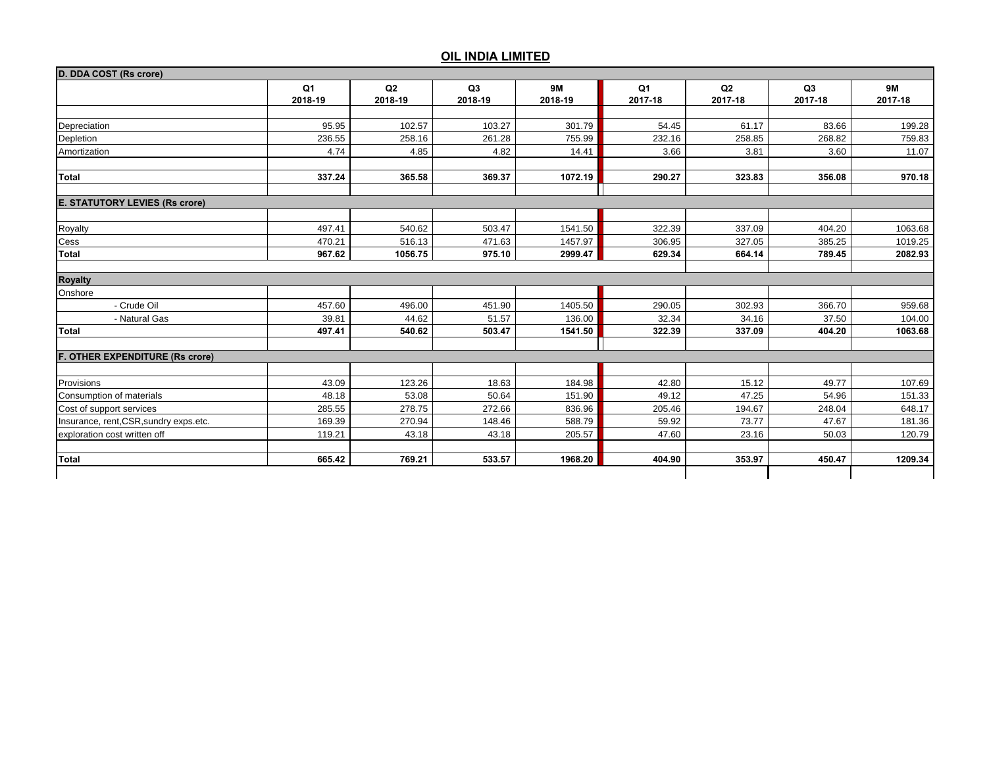|                                        | Q <sub>1</sub> | Q2      | Q3      | <b>9M</b> | Q <sub>1</sub> | Q2      | Q3      | <b>9M</b> |
|----------------------------------------|----------------|---------|---------|-----------|----------------|---------|---------|-----------|
|                                        | 2018-19        | 2018-19 | 2018-19 | 2018-19   | 2017-18        | 2017-18 | 2017-18 | 2017-18   |
|                                        |                |         |         |           |                |         |         |           |
| Depreciation                           | 95.95          | 102.57  | 103.27  | 301.79    | 54.45          | 61.17   | 83.66   | 199.28    |
| Depletion                              | 236.55         | 258.16  | 261.28  | 755.99    | 232.16         | 258.85  | 268.82  | 759.83    |
| Amortization                           | 4.74           | 4.85    | 4.82    | 14.41     | 3.66           | 3.81    | 3.60    | 11.07     |
| Total                                  | 337.24         | 365.58  | 369.37  | 1072.19   | 290.27         | 323.83  | 356.08  | 970.18    |
| <b>E. STATUTORY LEVIES (Rs crore)</b>  |                |         |         |           |                |         |         |           |
|                                        |                |         |         |           |                |         |         |           |
| Royalty                                | 497.41         | 540.62  | 503.47  | 1541.50   | 322.39         | 337.09  | 404.20  | 1063.68   |
| Cess                                   | 470.21         | 516.13  | 471.63  | 1457.97   | 306.95         | 327.05  | 385.25  | 1019.25   |
| Total                                  | 967.62         | 1056.75 | 975.10  | 2999.47   | 629.34         | 664.14  | 789.45  | 2082.93   |
| <b>Royalty</b>                         |                |         |         |           |                |         |         |           |
| Onshore                                |                |         |         |           |                |         |         |           |
| - Crude Oil                            | 457.60         | 496.00  | 451.90  | 1405.50   | 290.05         | 302.93  | 366.70  | 959.68    |
| - Natural Gas                          | 39.81          | 44.62   | 51.57   | 136.00    | 32.34          | 34.16   | 37.50   | 104.00    |
| Total                                  | 497.41         | 540.62  | 503.47  | 1541.50   | 322.39         | 337.09  | 404.20  | 1063.68   |
| F. OTHER EXPENDITURE (Rs crore)        |                |         |         |           |                |         |         |           |
|                                        |                |         |         |           |                |         |         |           |
| Provisions                             | 43.09          | 123.26  | 18.63   | 184.98    | 42.80          | 15.12   | 49.77   | 107.69    |
| Consumption of materials               | 48.18          | 53.08   | 50.64   | 151.90    | 49.12          | 47.25   | 54.96   | 151.33    |
| Cost of support services               | 285.55         | 278.75  | 272.66  | 836.96    | 205.46         | 194.67  | 248.04  | 648.17    |
| Insurance, rent, CSR, sundry exps.etc. | 169.39         | 270.94  | 148.46  | 588.79    | 59.92          | 73.77   | 47.67   | 181.36    |
| exploration cost written off           | 119.21         | 43.18   | 43.18   | 205.57    | 47.60          | 23.16   | 50.03   | 120.79    |
| Total                                  | 665.42         | 769.21  | 533.57  | 1968.20   | 404.90         | 353.97  | 450.47  | 1209.34   |